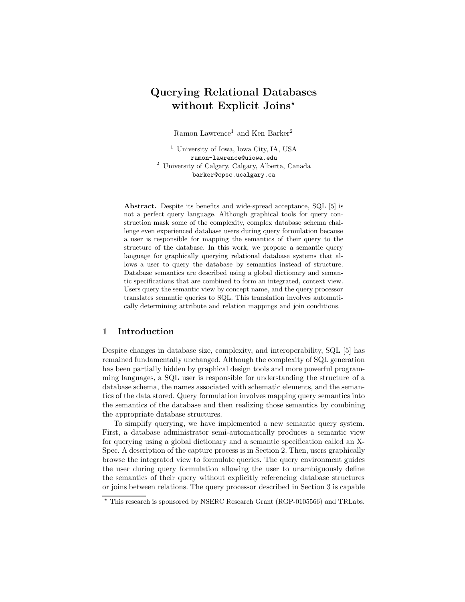# **Querying Relational Databases without Explicit Joins**

Ramon Lawrence<sup>1</sup> and Ken Barker<sup>2</sup>

<sup>1</sup> University of Iowa, Iowa City, IA, USA ramon-lawrence@uiowa.edu <sup>2</sup> University of Calgary, Calgary, Alberta, Canada barker@cpsc.ucalgary.ca

**Abstract.** Despite its benefits and wide-spread acceptance, SQL [5] is not a perfect query language. Although graphical tools for query construction mask some of the complexity, complex database schema challenge even experienced database users during query formulation because a user is responsible for mapping the semantics of their query to the structure of the database. In this work, we propose a semantic query language for graphically querying relational database systems that allows a user to query the database by semantics instead of structure. Database semantics are described using a global dictionary and semantic specifications that are combined to form an integrated, context view. Users query the semantic view by concept name, and the query processor translates semantic queries to SQL. This translation involves automatically determining attribute and relation mappings and join conditions.

## **1 Introduction**

Despite changes in database size, complexity, and interoperability, SQL [5] has remained fundamentally unchanged. Although the complexity of SQL generation has been partially hidden by graphical design tools and more powerful programming languages, a SQL user is responsible for understanding the structure of a database schema, the names associated with schematic elements, and the semantics of the data stored. Query formulation involves mapping query semantics into the semantics of the database and then realizing those semantics by combining the appropriate database structures.

To simplify querying, we have implemented a new semantic query system. First, a database administrator semi-automatically produces a semantic view for querying using a global dictionary and a semantic specification called an X-Spec. A description of the capture process is in Section 2. Then, users graphically browse the integrated view to formulate queries. The query environment guides the user during query formulation allowing the user to unambiguously define the semantics of their query without explicitly referencing database structures or joins between relations. The query processor described in Section 3 is capable

This research is sponsored by NSERC Research Grant (RGP-0105566) and TRLabs.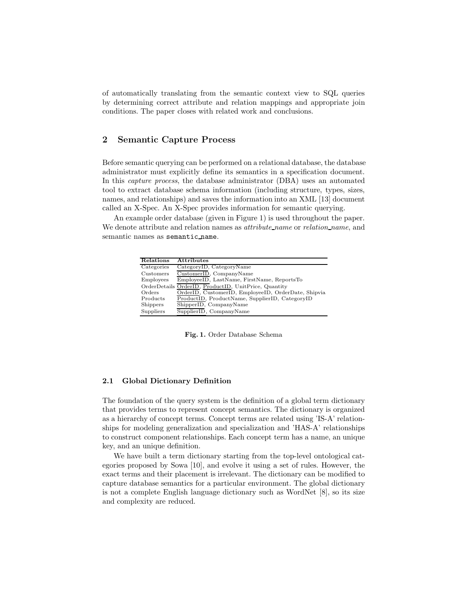of automatically translating from the semantic context view to SQL queries by determining correct attribute and relation mappings and appropriate join conditions. The paper closes with related work and conclusions.

## **2 Semantic Capture Process**

Before semantic querying can be performed on a relational database, the database administrator must explicitly define its semantics in a specification document. In this capture process, the database administrator (DBA) uses an automated tool to extract database schema information (including structure, types, sizes, names, and relationships) and saves the information into an  $XML$  [13] document called an X-Spec. An X-Spec provides information for semantic querying.

An example order database (given in Figure 1) is used throughout the paper. We denote attribute and relation names as *attribute\_name* or *relation\_name*, and semantic names as semantic name.

| Relations       | <b>Attributes</b>                                    |
|-----------------|------------------------------------------------------|
| Categories      | CategoryID, CategoryName                             |
| Customers       | CustomerID, CompanyName                              |
| Employees       | EmployeeID, LastName, FirstName, ReportsTo           |
|                 | OrderDetails OrderID, ProductID, UnitPrice, Quantity |
| Orders          | OrderID, CustomerID, EmployeeID, OrderDate, Shipvia  |
| Products        | ProductID, ProductName, SupplierID, CategoryID       |
| <b>Shippers</b> | ShipperID, CompanyName                               |
| Suppliers       | SupplierID, CompanyName                              |

**Fig. 1.** Order Database Schema

#### **2.1 Global Dictionary Definition**

The foundation of the query system is the definition of a global term dictionary that provides terms to represent concept semantics. The dictionary is organized as a hierarchy of concept terms. Concept terms are related using 'IS-A' relationships for modeling generalization and specialization and 'HAS-A' relationships to construct component relationships. Each concept term has a name, an unique key, and an unique definition.

We have built a term dictionary starting from the top-level ontological categories proposed by Sowa [10], and evolve it using a set of rules. However, the exact terms and their placement is irrelevant. The dictionary can be modified to capture database semantics for a particular environment. The global dictionary is not a complete English language dictionary such as WordNet [8], so its size and complexity are reduced.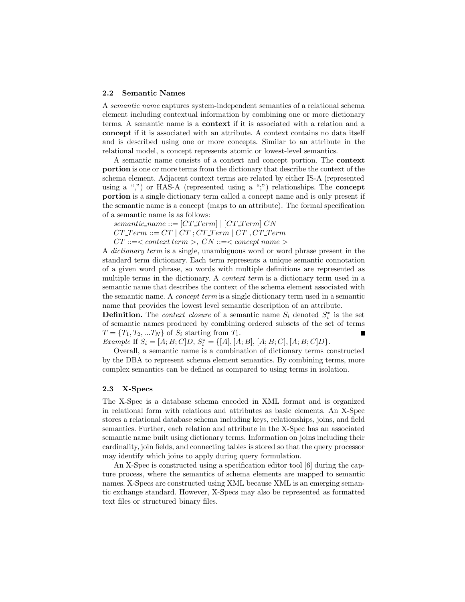#### **2.2 Semantic Names**

A semantic name captures system-independent semantics of a relational schema element including contextual information by combining one or more dictionary terms. A semantic name is a **context** if it is associated with a relation and a **concept** if it is associated with an attribute. A context contains no data itself and is described using one or more concepts. Similar to an attribute in the relational model, a concept represents atomic or lowest-level semantics.

A semantic name consists of a context and concept portion. The **context portion** is one or more terms from the dictionary that describe the context of the schema element. Adjacent context terms are related by either IS-A (represented using a ",") or HAS-A (represented using a ";") relationships. The **concept portion** is a single dictionary term called a concept name and is only present if the semantic name is a concept (maps to an attribute). The formal specification of a semantic name is as follows:

semantic\_name  $::= [CT\, Term] \mid [CT\, Term] \, CN$ 

 $CTTerm ::= CT | CT; CTTerm | CT; CTTerm | CT$ 

 $CT ::= < context term >, CN ::= < concept name >$ 

A dictionary term is a single, unambiguous word or word phrase present in the standard term dictionary. Each term represents a unique semantic connotation of a given word phrase, so words with multiple definitions are represented as multiple terms in the dictionary. A *context term* is a dictionary term used in a semantic name that describes the context of the schema element associated with the semantic name. A concept term is a single dictionary term used in a semantic name that provides the lowest level semantic description of an attribute.

**Definition.** The *context closure* of a semantic name  $S_i$  denoted  $S_i^*$  is the set of semantic names produced by combining ordered subsets of the set of terms  $T = \{T_1, T_2, ... T_N\}$  of  $S_i$  starting from  $T_1$ .

Example If  $S_i = [A; B; C]D, S_i^* = \{[A], [A; B], [A; B; C], [A; B; C]D\}.$ 

Overall, a semantic name is a combination of dictionary terms constructed by the DBA to represent schema element semantics. By combining terms, more complex semantics can be defined as compared to using terms in isolation.

#### **2.3 X-Specs**

The X-Spec is a database schema encoded in XML format and is organized in relational form with relations and attributes as basic elements. An X-Spec stores a relational database schema including keys, relationships, joins, and field semantics. Further, each relation and attribute in the X-Spec has an associated semantic name built using dictionary terms. Information on joins including their cardinality, join fields, and connecting tables is stored so that the query processor may identify which joins to apply during query formulation.

An X-Spec is constructed using a specification editor tool  $[6]$  during the capture process, where the semantics of schema elements are mapped to semantic names. X-Specs are constructed using XML because XML is an emerging semantic exchange standard. However, X-Specs may also be represented as formatted text files or structured binary files.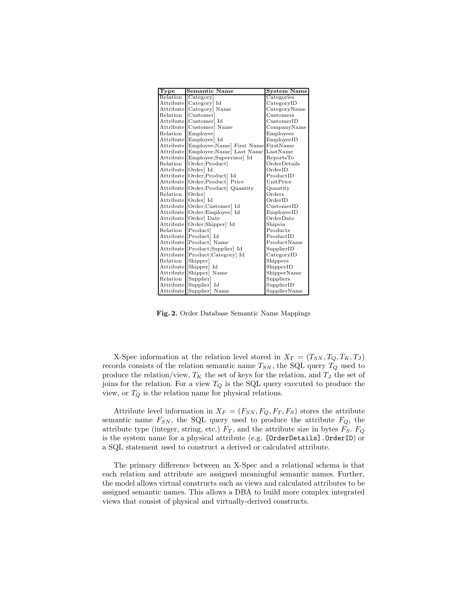| Type             | <b>Semantic Name</b>                           | <b>System Name</b> |
|------------------|------------------------------------------------|--------------------|
|                  | Relation [Category]                            | Categories         |
|                  | Attribute [Category] Id                        | CategoryID         |
|                  | Attribute [Category] Name                      | CategoryName       |
|                  | Relation [Customer]                            | Customers          |
|                  | Attribute [Customer] Id                        | $C$ ustomer $ID$   |
|                  | Attribute Customer Name                        | CompanyName        |
|                  | Relation Employee                              | Employees          |
|                  | Attribute [Employee] Id                        | EmployeeID         |
|                  | Attribute Employee; Name First Name First Name |                    |
|                  | Attribute Employee; Name Last Name             | LastName           |
|                  | Attribute Employee;Supervisor] Id              | ReportsTo          |
|                  | Relation [Order; Product]                      | OrderDetails       |
|                  | Attribute [Order] Id                           | OrderID            |
|                  | Attribute [Order; Product] Id                  | ProductID          |
|                  | Attribute [Order; Product] Price               | UnitPrice          |
|                  | Attribute [Order; Product] Quantity            | Quantity           |
| Relation [Order] |                                                | Orders             |
|                  | Attribute [Order] Id                           | OrderID            |
|                  | Attribute [Order;Customer] Id                  | $C$ ustomer $ID$   |
|                  | Attribute [Order; Employee] Id                 | EmployeeID         |
|                  | Attribute [Order] Date                         | OrderDate          |
|                  | Attribute [Order;Shipper] Id                   | Shipvia            |
|                  | Relation [Product]                             | Products           |
|                  | Attribute [Product] Id                         | ProductID          |
|                  | Attribute [Product] Name                       | ProductName        |
|                  | Attribute [Product;Supplier] Id                | SupplierID         |
|                  | Attribute [Product;Category] Id                | CategoryID         |
| Relation         | [Shipper]                                      | Shippers           |
|                  | Attribute [Shipper] Id                         | ShipperID          |
|                  | Attribute [Shipper] Name                       | ShipperName        |
|                  | Relation [Supplier]                            | Suppliers          |
|                  | Attribute [Supplier] Id                        | SupplierID         |
|                  | Attribute [Supplier] Name                      | SupplierName       |

**Fig. 2.** Order Database Semantic Name Mappings

X-Spec information at the relation level stored in  $X_T = (T_{SN}, T_Q, T_K, T_J)$ records consists of the relation semantic name  $T_{SN}$ , the SQL query  $T_Q$  used to produce the relation/view,  $T_K$  the set of keys for the relation, and  $T_J$  the set of joins for the relation. For a view  $T_Q$  is the SQL query executed to produce the view, or  $T_Q$  is the relation name for physical relations.

Attribute level information in  $X_F = (F_{SN}, F_Q, F_T, F_S)$  stores the attribute semantic name  $F_{SN}$ , the SQL query used to produce the attribute  $F_Q$ , the attribute type (integer, string, etc.)  $F_T$ , and the attribute size in bytes  $F_S$ .  $F_Q$ is the system name for a physical attribute (e.g. [OrderDetails].OrderID) or a SQL statement used to construct a derived or calculated attribute.

The primary difference between an X-Spec and a relational schema is that each relation and attribute are assigned meaningful semantic names. Further, the model allows virtual constructs such as views and calculated attributes to be assigned semantic names. This allows a DBA to build more complex integrated views that consist of physical and virtually-derived constructs.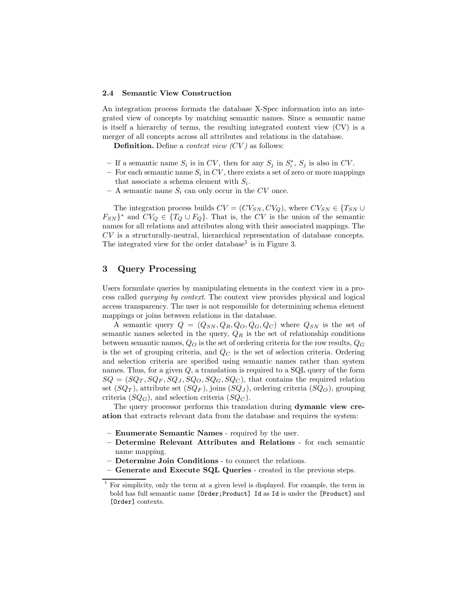#### **2.4 Semantic View Construction**

An integration process formats the database X-Spec information into an integrated view of concepts by matching semantic names. Since a semantic name is itself a hierarchy of terms, the resulting integrated context view (CV) is a merger of all concepts across all attributes and relations in the database.

**Definition.** Define a *context view*  $(CV)$  as follows:

- $-$  If a semantic name  $S_i$  is in CV, then for any  $S_j$  in  $S_i^*$ ,  $S_j$  is also in CV.
- For each semantic name  $S_i$  in CV, there exists a set of zero or more mappings that associate a schema element with  $S_i$ .
- $-$  A semantic name  $S_i$  can only occur in the CV once.

The integration process builds  $CV = (CV_{SN}, CV_Q)$ , where  $CV_{SN} \in \{T_{SN} \cup$  $F_{SN}$ <sup>∗</sup> and  $CV_Q \in \{T_Q \cup F_Q\}$ . That is, the CV is the union of the semantic names for all relations and attributes along with their associated mappings. The CV is a structurally-neutral, hierarchical representation of database concepts. The integrated view for the order database<sup>1</sup> is in Figure 3.

## **3Query Processing**

Users formulate queries by manipulating elements in the context view in a process called querying by context. The context view provides physical and logical access transparency. The user is not responsible for determining schema element mappings or joins between relations in the database.

A semantic query  $Q = (Q_{SN}, Q_R, Q_O, Q_G, Q_C)$  where  $Q_{SN}$  is the set of semantic names selected in the query,  $Q_R$  is the set of relationship conditions between semantic names,  $Q_O$  is the set of ordering criteria for the row results,  $Q_G$ is the set of grouping criteria, and  $Q_C$  is the set of selection criteria. Ordering and selection criteria are specified using semantic names rather than system names. Thus, for a given  $Q$ , a translation is required to a SQL query of the form  $SQ = (SQ_T, SQ_F, SQ_J, SQ_O, SQ_G, SQ_C)$ , that contains the required relation set  $(SQ_T)$ , attribute set  $(SQ_F)$ , joins  $(SQ_J)$ , ordering criteria  $(SQ_O)$ , grouping criteria  $(SQ_G)$ , and selection criteria  $(SQ_C)$ .

The query processor performs this translation during **dymanic view creation** that extracts relevant data from the database and requires the system:

- **–Enumerate Semantic Names** required by the user.
- **–Determine Relevant Attributes and Relations** for each semantic name mapping.
- **–Determine Join Conditions** to connect the relations.
- **–Generate and Execute SQL Queries** created in the previous steps.

 $1$  For simplicity, only the term at a given level is displayed. For example, the term in bold has full semantic name [Order;Product] Id as Id is under the [Product] and [Order] contexts.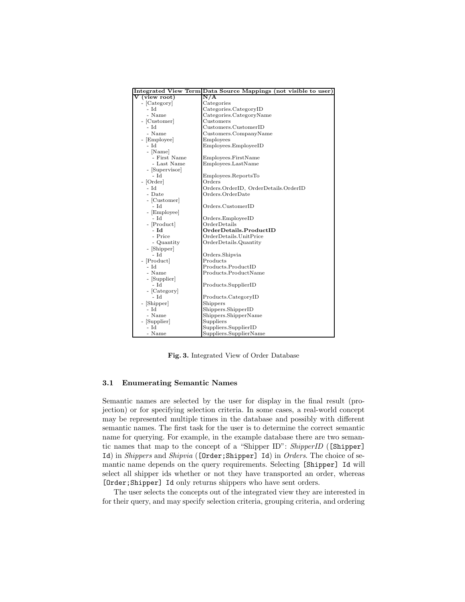| Integrated View Term Data Source Mappings (not visible to user) |                                      |  |  |
|-----------------------------------------------------------------|--------------------------------------|--|--|
| V (view root)                                                   | N/A                                  |  |  |
| - [Category]                                                    | Categories                           |  |  |
| - Id                                                            | Categories.CategoryID                |  |  |
| - Name                                                          | Categories.CategoryName              |  |  |
| - [Customer]                                                    | Customers                            |  |  |
| - Id                                                            | $C$ ustomers. $C$ ustomerID          |  |  |
| - Name                                                          | Customers.CompanyName                |  |  |
| - [Employee]                                                    | Employees                            |  |  |
| - Id                                                            | Employees.EmployeeID                 |  |  |
| - [Name]                                                        |                                      |  |  |
| - First Name                                                    | Employees.FirstName                  |  |  |
| - Last Name                                                     | Employees.LastName                   |  |  |
| - [Supervisor]                                                  |                                      |  |  |
| - Id                                                            | Employees.ReportsTo                  |  |  |
| - [Order]                                                       | Orders                               |  |  |
| $-$ Id                                                          | Orders.OrderID, OrderDetails.OrderID |  |  |
| - Date                                                          | Orders.OrderDate                     |  |  |
| - [Customer]                                                    |                                      |  |  |
| $-Id$                                                           | Orders.CustomerID                    |  |  |
| - [Employee]                                                    |                                      |  |  |
| $-Id$                                                           | Orders.EmployeeID                    |  |  |
| - [Product]                                                     | OrderDetails                         |  |  |
| - Id                                                            | OrderDetails.ProductID               |  |  |
| - Price                                                         | OrderDetails.UnitPrice               |  |  |
| - Quantity                                                      | OrderDetails.Quantity                |  |  |
| - [Shipper]                                                     |                                      |  |  |
| - Id                                                            | Orders.Shipvia                       |  |  |
| - [Product]                                                     | Products                             |  |  |
| - Id                                                            | Products.ProductID                   |  |  |
| - Name                                                          | Products.ProductName                 |  |  |
| - [Supplier]                                                    |                                      |  |  |
| - Id                                                            | Products.SupplierID                  |  |  |
| - [Category]                                                    |                                      |  |  |
| - Id                                                            | Products.CategoryID                  |  |  |
| - [Shipper]                                                     | Shippers                             |  |  |
| - Id                                                            | Shippers.ShipperID                   |  |  |
| - Name                                                          | Shippers.ShipperName                 |  |  |
| - [Supplier]                                                    | Suppliers                            |  |  |
| - Id                                                            | Suppliers.SupplierID                 |  |  |
| - Name                                                          | Suppliers.SupplierName               |  |  |

**Fig. 3.** Integrated View of Order Database

#### **3.1 Enumerating Semantic Names**

Semantic names are selected by the user for display in the final result (projection) or for specifying selection criteria. In some cases, a real-world concept may be represented multiple times in the database and possibly with different semantic names. The first task for the user is to determine the correct semantic name for querying. For example, in the example database there are two semantic names that map to the concept of a "Shipper ID": ShipperID ([Shipper] Id) in Shippers and Shipvia ([Order;Shipper] Id) in Orders. The choice of semantic name depends on the query requirements. Selecting [Shipper] Id will select all shipper ids whether or not they have transported an order, whereas [Order; Shipper] Id only returns shippers who have sent orders.

The user selects the concepts out of the integrated view they are interested in for their query, and may specify selection criteria, grouping criteria, and ordering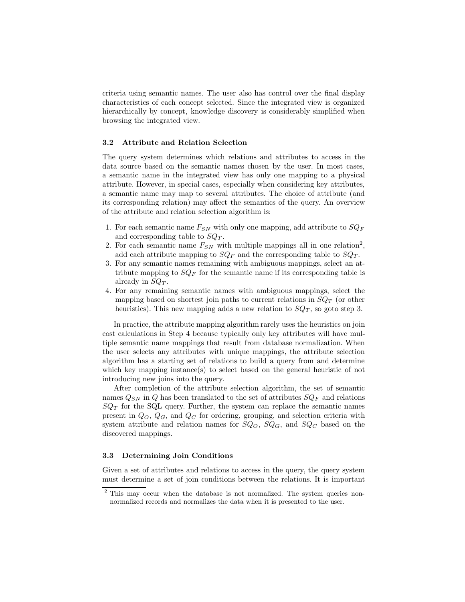criteria using semantic names. The user also has control over the final display characteristics of each concept selected. Since the integrated view is organized hierarchically by concept, knowledge discovery is considerably simplified when browsing the integrated view.

#### **3.2 Attribute and Relation Selection**

The query system determines which relations and attributes to access in the data source based on the semantic names chosen by the user. In most cases, a semantic name in the integrated view has only one mapping to a physical attribute. However, in special cases, especially when considering key attributes, a semantic name may map to several attributes. The choice of attribute (and its corresponding relation) may affect the semantics of the query. An overview of the attribute and relation selection algorithm is:

- 1. For each semantic name  $F_{SN}$  with only one mapping, add attribute to  $SQ_F$ and corresponding table to  $SQ_T$ .
- 2. For each semantic name  $F_{SN}$  with multiple mappings all in one relation<sup>2</sup>, add each attribute mapping to  $SQ_F$  and the corresponding table to  $SQ_T$ .
- 3. For any semantic names remaining with ambiguous mappings, select an attribute mapping to  $SQ_F$  for the semantic name if its corresponding table is already in  $SQ_T$ .
- 4. For any remaining semantic names with ambiguous mappings, select the mapping based on shortest join paths to current relations in  $SQ_T$  (or other heuristics). This new mapping adds a new relation to  $SQ_T$ , so goto step 3.

In practice, the attribute mapping algorithm rarely uses the heuristics on join cost calculations in Step 4 because typically only key attributes will have multiple semantic name mappings that result from database normalization. When the user selects any attributes with unique mappings, the attribute selection algorithm has a starting set of relations to build a query from and determine which key mapping instance(s) to select based on the general heuristic of not introducing new joins into the query.

After completion of the attribute selection algorithm, the set of semantic names  $Q_{SN}$  in Q has been translated to the set of attributes  $SQ_F$  and relations  $SQ_T$  for the SQL query. Further, the system can replace the semantic names present in  $Q_O$ ,  $Q_G$ , and  $Q_C$  for ordering, grouping, and selection criteria with system attribute and relation names for  $SQ_O$ ,  $SQ_G$ , and  $SQ_C$  based on the discovered mappings.

#### **3.3 Determining Join Conditions**

Given a set of attributes and relations to access in the query, the query system must determine a set of join conditions between the relations. It is important

<sup>2</sup> This may occur when the database is not normalized. The system queries nonnormalized records and normalizes the data when it is presented to the user.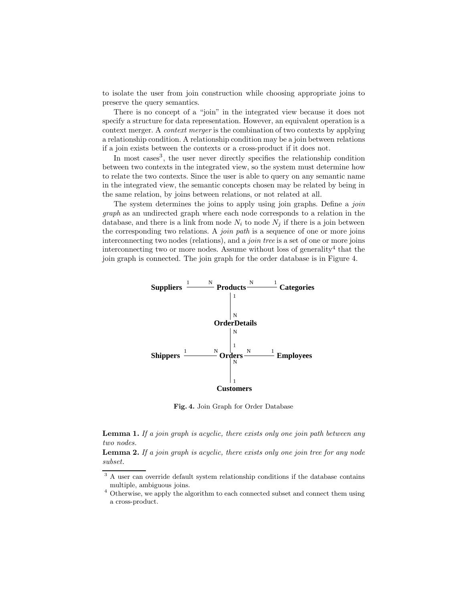to isolate the user from join construction while choosing appropriate joins to preserve the query semantics.

There is no concept of a "join" in the integrated view because it does not specify a structure for data representation. However, an equivalent operation is a context merger. A context merger is the combination of two contexts by applying a relationship condition. A relationship condition may be a join between relations if a join exists between the contexts or a cross-product if it does not.

In most cases<sup>3</sup>, the user never directly specifies the relationship condition between two contexts in the integrated view, so the system must determine how to relate the two contexts. Since the user is able to query on any semantic name in the integrated view, the semantic concepts chosen may be related by being in the same relation, by joins between relations, or not related at all.

The system determines the joins to apply using join graphs. Define a *join* graph as an undirected graph where each node corresponds to a relation in the database, and there is a link from node  $N_i$  to node  $N_j$  if there is a join between the corresponding two relations. A join path is a sequence of one or more joins interconnecting two nodes (relations), and a *join tree* is a set of one or more joins interconnecting two or more nodes. Assume without loss of generality<sup>4</sup> that the join graph is connected. The join graph for the order database is in Figure 4.



**Fig. 4.** Join Graph for Order Database

**Lemma 1.** If a join graph is acyclic, there exists only one join path between any two nodes.

**Lemma 2.** If a join graph is acyclic, there exists only one join tree for any node subset.

<sup>&</sup>lt;sup>3</sup> A user can override default system relationship conditions if the database contains multiple, ambiguous joins.

<sup>&</sup>lt;sup>4</sup> Otherwise, we apply the algorithm to each connected subset and connect them using a cross-product.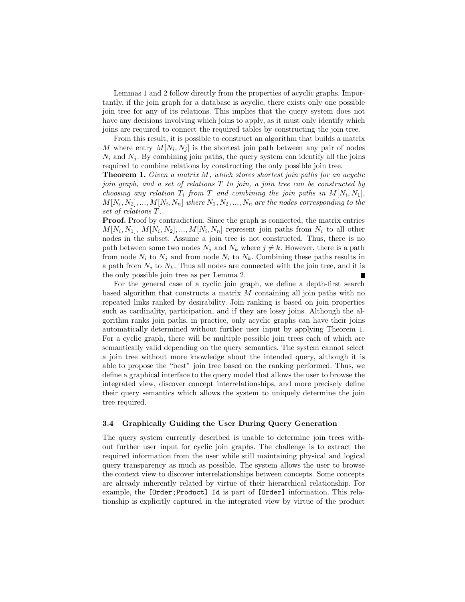Lemmas 1 and 2 follow directly from the properties of acyclic graphs. Importantly, if the join graph for a database is acyclic, there exists only one possible join tree for any of its relations. This implies that the query system does not have any decisions involving which joins to apply, as it must only identify which joins are required to connect the required tables by constructing the join tree.

From this result, it is possible to construct an algorithm that builds a matrix M where entry  $M[N_i, N_j]$  is the shortest join path between any pair of nodes  $N_i$  and  $N_j$ . By combining join paths, the query system can identify all the joins required to combine relations by constructing the only possible join tree.

**Theorem 1.** Given a matrix  $M$ , which stores shortest join paths for an acyclic join graph, and a set of relations  $T$  to join, a join tree can be constructed by choosing any relation  $T_i$  from T and combining the join paths in  $M[N_i, N_1]$ ,  $M[N_i, N_2], ..., M[N_i, N_n]$  where  $N_1, N_2, ..., N_n$  are the nodes corresponding to the set of relations T.

**Proof.** Proof by contradiction. Since the graph is connected, the matrix entries  $M[N_i, N_1], M[N_i, N_2], ..., M[N_i, N_n]$  represent join paths from  $N_i$  to all other nodes in the subset. Assume a join tree is not constructed. Thus, there is no path between some two nodes  $N_i$  and  $N_k$  where  $j \neq k$ . However, there is a path from node  $N_i$  to  $N_j$  and from node  $N_i$  to  $N_k$ . Combining these paths results in a path from  $N_i$  to  $N_k$ . Thus all nodes are connected with the join tree, and it is the only possible join tree as per Lemma 2.

For the general case of a cyclic join graph, we define a depth-first search based algorithm that constructs a matrix  $M$  containing all join paths with no repeated links ranked by desirability. Join ranking is based on join properties such as cardinality, participation, and if they are lossy joins. Although the algorithm ranks join paths, in practice, only acyclic graphs can have their joins automatically determined without further user input by applying Theorem 1. For a cyclic graph, there will be multiple possible join trees each of which are semantically valid depending on the query semantics. The system cannot select a join tree without more knowledge about the intended query, although it is able to propose the "best" join tree based on the ranking performed. Thus, we define a graphical interface to the query model that allows the user to browse the integrated view, discover concept interrelationships, and more precisely define their query semantics which allows the system to uniquely determine the join tree required.

#### **3.4 Graphically Guiding the User During Query Generation**

The query system currently described is unable to determine join trees without further user input for cyclic join graphs. The challenge is to extract the required information from the user while still maintaining physical and logical query transparency as much as possible. The system allows the user to browse the context view to discover interrelationships between concepts. Some concepts are already inherently related by virtue of their hierarchical relationship. For example, the [Order;Product] Id is part of [Order] information. This relationship is explicitly captured in the integrated view by virtue of the product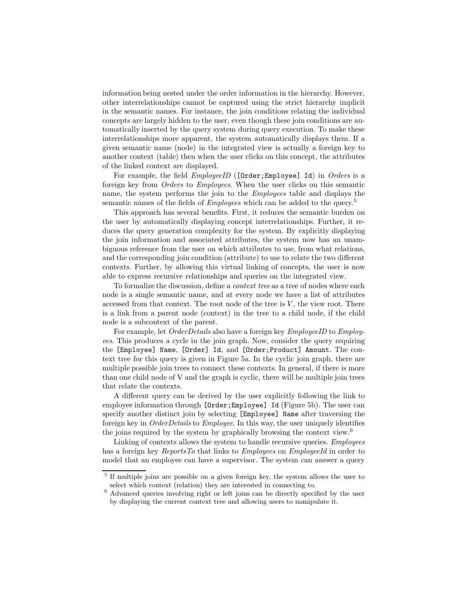information being nested under the order information in the hierarchy. However, other interrelationships cannot be captured using the strict hierarchy implicit in the semantic names. For instance, the join conditions relating the individual concepts are largely hidden to the user, even though these join conditions are automatically inserted by the query system during query execution. To make these interrelationships more apparent, the system automatically displays them. If a given semantic name (node) in the integrated view is actually a foreign key to another context (table) then when the user clicks on this concept, the attributes of the linked context are displayed.

For example, the field *EmployeeID* ([Order; Employee] Id) in *Orders* is a foreign key from Orders to Employees. When the user clicks on this semantic name, the system performs the join to the Employees table and displays the semantic names of the fields of *Employees* which can be added to the query.<sup>5</sup>

This approach has several benefits. First, it reduces the semantic burden on the user by automatically displaying concept interrelationships. Further, it reduces the query generation complexity for the system. By explicitly displaying the join information and associated attributes, the system now has an unambiguous reference from the user on which attributes to use, from what relations, and the corresponding join condition (attribute) to use to relate the two different contexts. Further, by allowing this virtual linking of concepts, the user is now able to express recursive relationships and queries on the integrated view.

To formalize the discussion, define a *context tree* as a tree of nodes where each node is a single semantic name, and at every node we have a list of attributes accessed from that context. The root node of the tree is  $V$ , the view root. There is a link from a parent node (context) in the tree to a child node, if the child node is a subcontext of the parent.

For example, let OrderDetails also have a foreign key EmployeeID to Employees. This produces a cycle in the join graph. Now, consider the query requiring the [Employee] Name, [Order] Id, and [Order;Product] Amount. The context tree for this query is given in Figure 5a. In the cyclic join graph, there are multiple possible join trees to connect these contexts. In general, if there is more than one child node of V and the graph is cyclic, there will be multiple join trees that relate the contexts.

A different query can be derived by the user explicitly following the link to employee information through [Order;Employee] Id (Figure 5b). The user can specify another distinct join by selecting [Employee] Name after traversing the foreign key in OrderDetails to Employee. In this way, the user uniquely identifies the joins required by the system by graphically browsing the context view.<sup>6</sup>

Linking of contexts allows the system to handle recursive queries. Employees has a foreign key *ReportsTo* that links to *Employees* on *EmployeeId* in order to model that an employee can have a supervisor. The system can answer a query

<sup>5</sup> If multiple joins are possible on a given foreign key, the system allows the user to select which context (relation) they are interested in connecting to.

<sup>&</sup>lt;sup>6</sup> Advanced queries involving right or left joins can be directly specified by the user by displaying the current context tree and allowing users to manipulate it.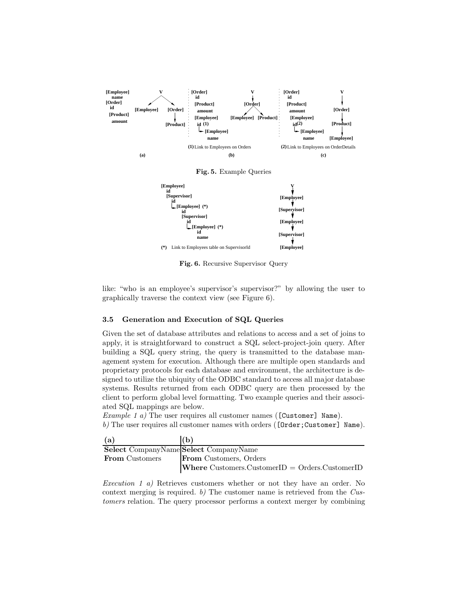

**Fig. 5.** Example Queries



**Fig. 6.** Recursive Supervisor Query

like: "who is an employee's supervisor's supervisor?" by allowing the user to graphically traverse the context view (see Figure 6).

#### **3.5 Generation and Execution of SQL Queries**

Given the set of database attributes and relations to access and a set of joins to apply, it is straightforward to construct a SQL select-project-join query. After building a SQL query string, the query is transmitted to the database management system for execution. Although there are multiple open standards and proprietary protocols for each database and environment, the architecture is designed to utilize the ubiquity of the ODBC standard to access all major database systems. Results returned from each ODBC query are then processed by the client to perform global level formatting. Two example queries and their associated SQL mappings are below.

Example 1 a) The user requires all customer names ([Customer] Name). b) The user requires all customer names with orders ([Order; Customer] Name).

| (a)                   | (b)                                                      |
|-----------------------|----------------------------------------------------------|
|                       | Select CompanyName Select CompanyName                    |
| <b>From Customers</b> | <b>From Customers, Orders</b>                            |
|                       | <b>Where</b> Customers.CustomerID = $Orders$ .CustomerID |

Execution 1 a) Retrieves customers whether or not they have an order. No context merging is required.  $b$ ) The customer name is retrieved from the *Cus*tomers relation. The query processor performs a context merger by combining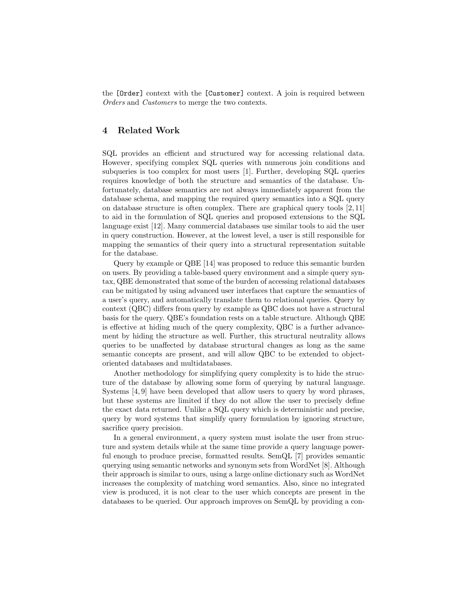the [Order] context with the [Customer] context. A join is required between Orders and Customers to merge the two contexts.

## **4 Related Work**

SQL provides an efficient and structured way for accessing relational data. However, specifying complex SQL queries with numerous join conditions and subqueries is too complex for most users [1]. Further, developing SQL queries requires knowledge of both the structure and semantics of the database. Unfortunately, database semantics are not always immediately apparent from the database schema, and mapping the required query semantics into a SQL query on database structure is often complex. There are graphical query tools [2, 11] to aid in the formulation of SQL queries and proposed extensions to the SQL language exist [12]. Many commercial databases use similar tools to aid the user in query construction. However, at the lowest level, a user is still responsible for mapping the semantics of their query into a structural representation suitable for the database.

Query by example or  $QBE$  [14] was proposed to reduce this semantic burden on users. By providing a table-based query environment and a simple query syntax, QBE demonstrated that some of the burden of accessing relational databases can be mitigated by using advanced user interfaces that capture the semantics of a user's query, and automatically translate them to relational queries. Query by context (QBC) differs from query by example as QBC does not have a structural basis for the query. QBE's foundation rests on a table structure. Although QBE is effective at hiding much of the query complexity, QBC is a further advancement by hiding the structure as well. Further, this structural neutrality allows queries to be unaffected by database structural changes as long as the same semantic concepts are present, and will allow QBC to be extended to objectoriented databases and multidatabases.

Another methodology for simplifying query complexity is to hide the structure of the database by allowing some form of querying by natural language. Systems [4, 9] have been developed that allow users to query by word phrases, but these systems are limited if they do not allow the user to precisely define the exact data returned. Unlike a SQL query which is deterministic and precise, query by word systems that simplify query formulation by ignoring structure, sacrifice query precision.

In a general environment, a query system must isolate the user from structure and system details while at the same time provide a query language powerful enough to produce precise, formatted results. SemQL  $[7]$  provides semantic querying using semantic networks and synonym sets from WordNet [8]. Although their approach is similar to ours, using a large online dictionary such as WordNet increases the complexity of matching word semantics. Also, since no integrated view is produced, it is not clear to the user which concepts are present in the databases to be queried. Our approach improves on SemQL by providing a con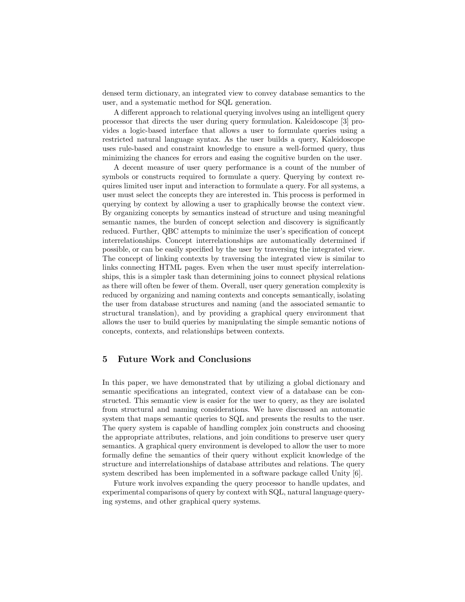densed term dictionary, an integrated view to convey database semantics to the user, and a systematic method for SQL generation.

A different approach to relational querying involves using an intelligent query processor that directs the user during query formulation. Kaleidoscope [3] provides a logic-based interface that allows a user to formulate queries using a restricted natural language syntax. As the user builds a query, Kaleidoscope uses rule-based and constraint knowledge to ensure a well-formed query, thus minimizing the chances for errors and easing the cognitive burden on the user.

A decent measure of user query performance is a count of the number of symbols or constructs required to formulate a query. Querying by context requires limited user input and interaction to formulate a query. For all systems, a user must select the concepts they are interested in. This process is performed in querying by context by allowing a user to graphically browse the context view. By organizing concepts by semantics instead of structure and using meaningful semantic names, the burden of concept selection and discovery is significantly reduced. Further, QBC attempts to minimize the user's specification of concept interrelationships. Concept interrelationships are automatically determined if possible, or can be easily specified by the user by traversing the integrated view. The concept of linking contexts by traversing the integrated view is similar to links connecting HTML pages. Even when the user must specify interrelationships, this is a simpler task than determining joins to connect physical relations as there will often be fewer of them. Overall, user query generation complexity is reduced by organizing and naming contexts and concepts semantically, isolating the user from database structures and naming (and the associated semantic to structural translation), and by providing a graphical query environment that allows the user to build queries by manipulating the simple semantic notions of concepts, contexts, and relationships between contexts.

### **5 Future Work and Conclusions**

In this paper, we have demonstrated that by utilizing a global dictionary and semantic specifications an integrated, context view of a database can be constructed. This semantic view is easier for the user to query, as they are isolated from structural and naming considerations. We have discussed an automatic system that maps semantic queries to SQL and presents the results to the user. The query system is capable of handling complex join constructs and choosing the appropriate attributes, relations, and join conditions to preserve user query semantics. A graphical query environment is developed to allow the user to more formally define the semantics of their query without explicit knowledge of the structure and interrelationships of database attributes and relations. The query system described has been implemented in a software package called Unity [6].

Future work involves expanding the query processor to handle updates, and experimental comparisons of query by context with SQL, natural language querying systems, and other graphical query systems.